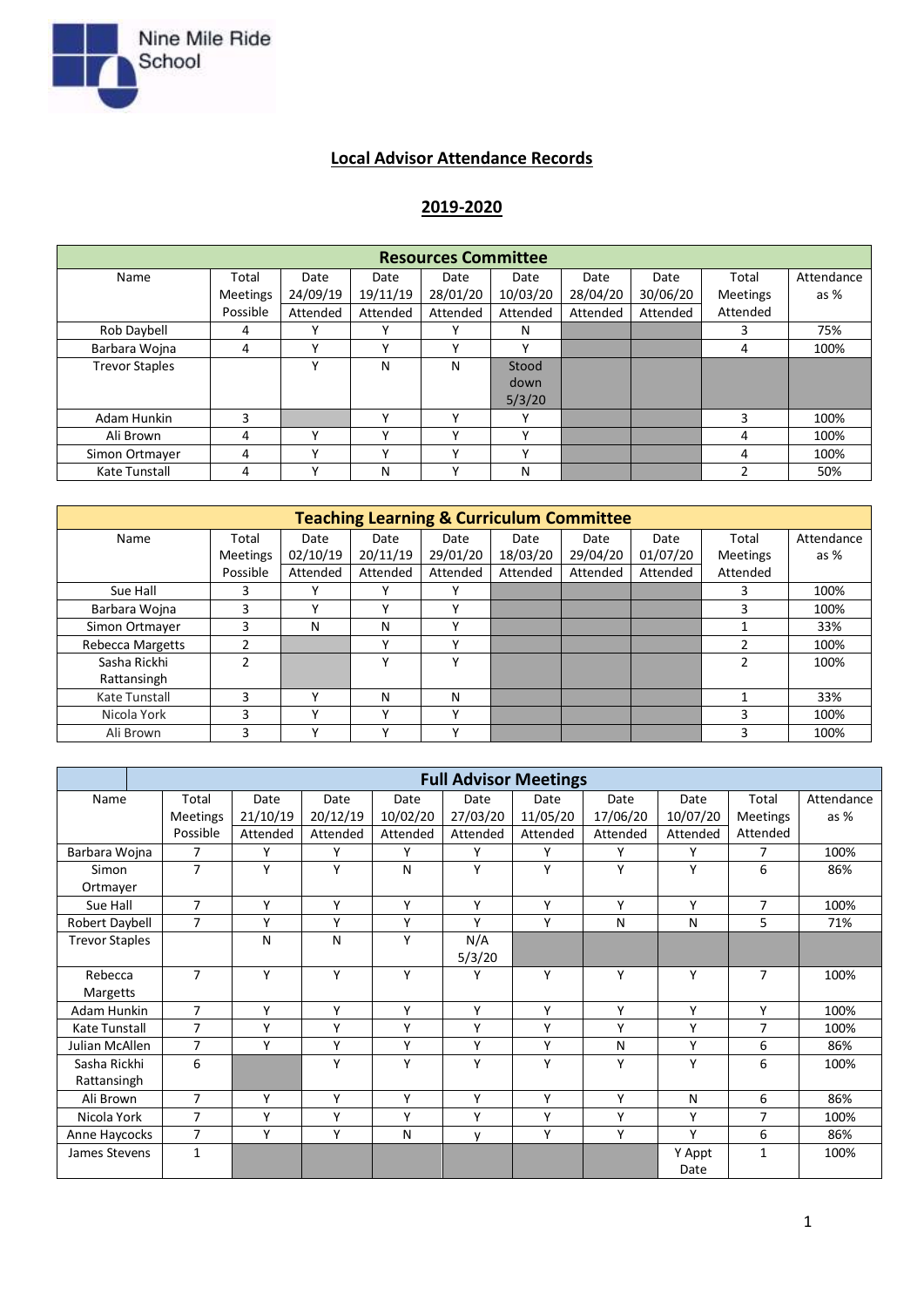

## **Local Advisor Attendance Records**

## **2019-2020**

| <b>Resources Committee</b> |                 |              |              |              |              |          |          |                 |            |
|----------------------------|-----------------|--------------|--------------|--------------|--------------|----------|----------|-----------------|------------|
| Name                       | Total           | Date         | Date         | Date         | Date         | Date     | Date     | Total           | Attendance |
|                            | <b>Meetings</b> | 24/09/19     | 19/11/19     | 28/01/20     | 10/03/20     | 28/04/20 | 30/06/20 | <b>Meetings</b> | as $%$     |
|                            | Possible        | Attended     | Attended     | Attended     | Attended     | Attended | Attended | Attended        |            |
| Rob Daybell                | 4               | $\mathbf{v}$ | $\checkmark$ | $\mathbf{v}$ | N            |          |          | 3               | 75%        |
| Barbara Wojna              | 4               | $\checkmark$ | Υ            | $\checkmark$ | $\mathbf{v}$ |          |          | 4               | 100%       |
| <b>Trevor Staples</b>      |                 | ٧            | N            | N            | Stood        |          |          |                 |            |
|                            |                 |              |              |              | down         |          |          |                 |            |
|                            |                 |              |              |              | 5/3/20       |          |          |                 |            |
| Adam Hunkin                | 3               |              | v            | $\checkmark$ |              |          |          | 3               | 100%       |
| Ali Brown                  | 4               | $\checkmark$ | v            | $\checkmark$ | v            |          |          | 4               | 100%       |
| Simon Ortmayer             | 4               | $\checkmark$ | v            | $\checkmark$ | v            |          |          | 4               | 100%       |
| Kate Tunstall              | 4               | $\checkmark$ | N            | $\checkmark$ | N            |          |          |                 | 50%        |

| <b>Teaching Learning &amp; Curriculum Committee</b> |                 |              |              |              |          |          |          |                 |            |
|-----------------------------------------------------|-----------------|--------------|--------------|--------------|----------|----------|----------|-----------------|------------|
| Name                                                | Total           | Date         | Date         | Date         | Date     | Date     | Date     | Total           | Attendance |
|                                                     | <b>Meetings</b> | 02/10/19     | 20/11/19     | 29/01/20     | 18/03/20 | 29/04/20 | 01/07/20 | <b>Meetings</b> | as $%$     |
|                                                     | Possible        | Attended     | Attended     | Attended     | Attended | Attended | Attended | Attended        |            |
| Sue Hall                                            | 3               | $\mathbf v$  | v            | $\checkmark$ |          |          |          |                 | 100%       |
| Barbara Wojna                                       | 3               | v            | ν            |              |          |          |          | 3               | 100%       |
| Simon Ortmayer                                      | 3               | N            | N            | $\checkmark$ |          |          |          |                 | 33%        |
| <b>Rebecca Margetts</b>                             | 2               |              | v            | ν            |          |          |          |                 | 100%       |
| Sasha Rickhi                                        | $\overline{2}$  |              | ν            | v            |          |          |          |                 | 100%       |
| Rattansingh                                         |                 |              |              |              |          |          |          |                 |            |
| Kate Tunstall                                       | 3               | $\checkmark$ | N            | N            |          |          |          |                 | 33%        |
| Nicola York                                         | 3               | $\checkmark$ | $\checkmark$ | $\checkmark$ |          |          |          | 3               | 100%       |
| Ali Brown                                           | 3               | v            | $\checkmark$ | v            |          |          |          | 3               | 100%       |

|                       | <b>Full Advisor Meetings</b> |          |          |          |          |          |          |          |                 |            |
|-----------------------|------------------------------|----------|----------|----------|----------|----------|----------|----------|-----------------|------------|
| Name                  | Total                        | Date     | Date     | Date     | Date     | Date     | Date     | Date     | Total           | Attendance |
|                       | <b>Meetings</b>              | 21/10/19 | 20/12/19 | 10/02/20 | 27/03/20 | 11/05/20 | 17/06/20 | 10/07/20 | <b>Meetings</b> | as %       |
|                       | Possible                     | Attended | Attended | Attended | Attended | Attended | Attended | Attended | Attended        |            |
| Barbara Wojna         | $\overline{7}$               | Y        | Υ        | Υ        | Y        | Y        | Υ        | Y        | $\overline{7}$  | 100%       |
| Simon                 | $\overline{7}$               | Υ        | Υ        | N        | Υ        | Y        | Υ        | Y        | 6               | 86%        |
| Ortmayer              |                              |          |          |          |          |          |          |          |                 |            |
| Sue Hall              | 7                            | Υ        | Υ        | Υ        | Υ        | Υ        | Υ        | Y        | $\overline{7}$  | 100%       |
| Robert Daybell        | $\overline{7}$               | Υ        | Υ        | Υ        | Υ        | Y        | N        | N        | 5               | 71%        |
| <b>Trevor Staples</b> |                              | N        | N        | Y        | N/A      |          |          |          |                 |            |
|                       |                              |          |          |          | 5/3/20   |          |          |          |                 |            |
| Rebecca               | $\overline{7}$               | Y        | Υ        | Υ        | Υ        | Y        | Υ        | Y        | $\overline{7}$  | 100%       |
| <b>Margetts</b>       |                              |          |          |          |          |          |          |          |                 |            |
| Adam Hunkin           | $\overline{7}$               | Υ        | Υ        | Y        | Y        | Y        | Υ        | Y        | Υ               | 100%       |
| Kate Tunstall         | $\overline{7}$               | Υ        | Υ        | Υ        | Υ        | Υ        | Υ        | Y        | $\overline{7}$  | 100%       |
| Julian McAllen        | $\overline{7}$               | Υ        | Υ        | Υ        | Υ        | Υ        | N        | Y        | 6               | 86%        |
| Sasha Rickhi          | 6                            |          | Υ        | Y        | Υ        | Υ        | Υ        | Y        | 6               | 100%       |
| Rattansingh           |                              |          |          |          |          |          |          |          |                 |            |
| Ali Brown             | $\overline{7}$               | Υ        | Υ        | Υ        | Υ        | Y        | Υ        | N        | 6               | 86%        |
| Nicola York           | $\overline{7}$               | Υ        | Υ        | γ        | Υ        | Υ        | Υ        | Y        | $\overline{7}$  | 100%       |
| Anne Haycocks         | $\overline{7}$               | Y        | Υ        | N        | v        | Υ        | Υ        | Y        | 6               | 86%        |
| James Stevens         | $\mathbf{1}$                 |          |          |          |          |          |          | Y Appt   | $\mathbf{1}$    | 100%       |
|                       |                              |          |          |          |          |          |          | Date     |                 |            |